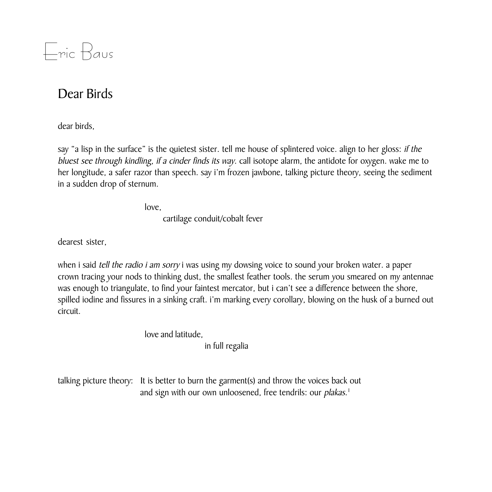

## Dear Birds

dear birds.

say "a lisp in the surface" is the quietest sister. tell me house of splintered voice. align to her gloss: if the bluest see through kindling, if a cinder finds its way. call isotope alarm, the antidote for oxygen. wake me to her longitude, a safer razor than speech. say i'm frozen jawbone, talking picture theory, seeing the sediment in a sudden drop of sternum.

love.

cartilage conduit/cobalt fever

dearest sister.

when i said tell the radio i am sorry i was using my dowsing voice to sound your broken water. a paper crown tracing your nods to thinking dust, the smallest feather tools. the serum you smeared on my antennae was enough to triangulate, to find your faintest mercator, but i can't see a difference between the shore, spilled iodine and fissures in a sinking craft. i'm marking every corollary, blowing on the husk of a burned out circuit.

> love and latitude, in full regalia

talking picture theory: It is better to burn the garment(s) and throw the voices back out

and sign with our own unloosened, free tendrils: our *plakas*.<sup>1</sup>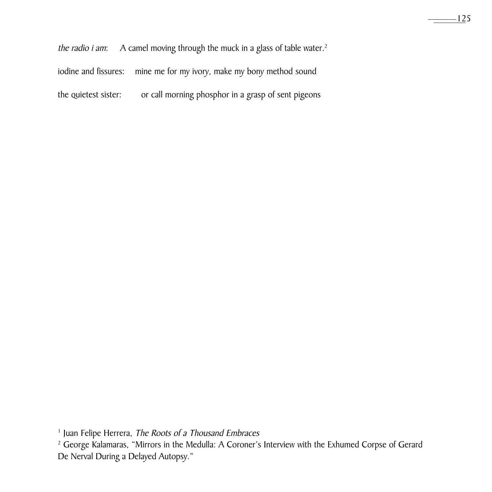the radio i am: A camel moving through the muck in a glass of table water.<sup>2</sup>

iodine and fissures: mine me for my ivory, make my bony method sound

the quietest sister: or call morning phosphor in a grasp of sent pigeons

<sup>&</sup>lt;sup>1</sup> Juan Felipe Herrera, The Roots of a Thousand Embraces

<sup>&</sup>lt;sup>2</sup> George Kalamaras, "Mirrors in the Medulla: A Coroner's Interview with the Exhumed Corpse of Gerard De Nerval During a Delayed Autopsy."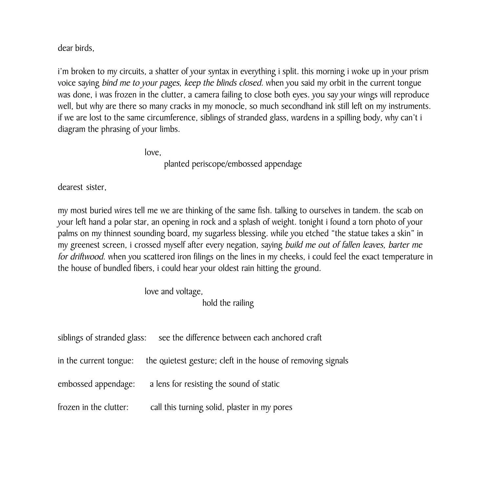dear birds.

i'm broken to my circuits, a shatter of your syntax in everything i split. this morning i woke up in your prism voice saying bind me to your pages, keep the blinds closed. when you said my orbit in the current tongue was done, i was frozen in the clutter, a camera failing to close both eyes. you say your wings will reproduce well, but why are there so many cracks in my monocle, so much secondhand ink still left on my instruments. if we are lost to the same circumference, siblings of stranded glass, wardens in a spilling body, why can't i diagram the phrasing of your limbs.

love,

planted periscope/embossed appendage

dearest sister,

my most buried wires tell me we are thinking of the same fish. talking to ourselves in tandem. the scab on your left hand a polar star, an opening in rock and a splash of weight. tonight i found a torn photo of your palms on my thinnest sounding board, my sugarless blessing. while you etched "the statue takes a skin" in my greenest screen, i crossed myself after every negation, saying build me out of fallen leaves, barter me for driftwood. when you scattered iron filings on the lines in my cheeks, i could feel the exact temperature in the house of bundled fibers, i could hear your oldest rain hitting the ground.

love and voltage,

hold the railing

| siblings of stranded glass: | see the difference between each anchored craft               |
|-----------------------------|--------------------------------------------------------------|
| in the current tongue:      | the quietest gesture; cleft in the house of removing signals |
| embossed appendage:         | a lens for resisting the sound of static                     |
| frozen in the clutter:      | call this turning solid, plaster in my pores                 |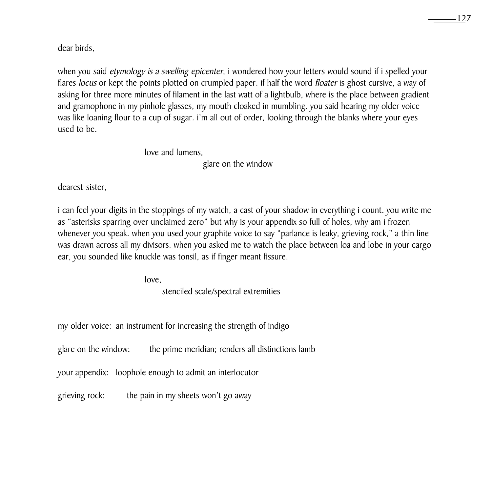dear birds.

when you said *etymology is a swelling epicenter*, i wondered how your letters would sound if i spelled your flares locus or kept the points plotted on crumpled paper. if half the word floater is ghost cursive, a way of asking for three more minutes of filament in the last watt of a lightbulb, where is the place between gradient and gramophone in my pinhole glasses, my mouth cloaked in mumbling. you said hearing my older voice was like loaning flour to a cup of sugar. i'm all out of order, looking through the blanks where your eyes used to be.

> love and lumens. glare on the window

dearest sister,

i can feel your digits in the stoppings of my watch, a cast of your shadow in everything i count. you write me as "asterisks sparring over unclaimed zero" but why is your appendix so full of holes, why am i frozen whenever you speak. when you used your graphite voice to say "parlance is leaky, grieving rock," a thin line was drawn across all my divisors. when you asked me to watch the place between loa and lobe in your cargo ear, you sounded like knuckle was tonsil, as if finger meant fissure.

love.

stenciled scale/spectral extremities

my older voice: an instrument for increasing the strength of indigo

glare on the window: the prime meridian; renders all distinctions lamb

your appendix: loophole enough to admit an interlocutor

grieving rock: the pain in my sheets won't go away –127